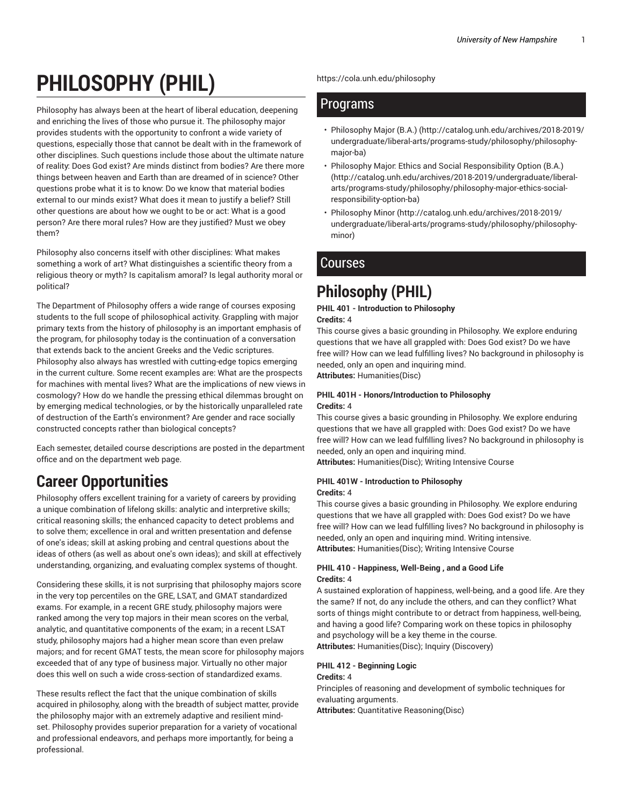# **PHILOSOPHY (PHIL)**

Philosophy has always been at the heart of liberal education, deepening and enriching the lives of those who pursue it. The philosophy major provides students with the opportunity to confront a wide variety of questions, especially those that cannot be dealt with in the framework of other disciplines. Such questions include those about the ultimate nature of reality: Does God exist? Are minds distinct from bodies? Are there more things between heaven and Earth than are dreamed of in science? Other questions probe what it is to know: Do we know that material bodies external to our minds exist? What does it mean to justify a belief? Still other questions are about how we ought to be or act: What is a good person? Are there moral rules? How are they justified? Must we obey them?

Philosophy also concerns itself with other disciplines: What makes something a work of art? What distinguishes a scientific theory from a religious theory or myth? Is capitalism amoral? Is legal authority moral or political?

The Department of Philosophy offers a wide range of courses exposing students to the full scope of philosophical activity. Grappling with major primary texts from the history of philosophy is an important emphasis of the program, for philosophy today is the continuation of a conversation that extends back to the ancient Greeks and the Vedic scriptures. Philosophy also always has wrestled with cutting-edge topics emerging in the current culture. Some recent examples are: What are the prospects for machines with mental lives? What are the implications of new views in cosmology? How do we handle the pressing ethical dilemmas brought on by emerging medical technologies, or by the historically unparalleled rate of destruction of the Earth's environment? Are gender and race socially constructed concepts rather than biological concepts?

Each semester, detailed course descriptions are posted in the department office and on the department web page.

# **Career Opportunities**

Philosophy offers excellent training for a variety of careers by providing a unique combination of lifelong skills: analytic and interpretive skills; critical reasoning skills; the enhanced capacity to detect problems and to solve them; excellence in oral and written presentation and defense of one's ideas; skill at asking probing and central questions about the ideas of others (as well as about one's own ideas); and skill at effectively understanding, organizing, and evaluating complex systems of thought.

Considering these skills, it is not surprising that philosophy majors score in the very top percentiles on the GRE, LSAT, and GMAT standardized exams. For example, in a recent GRE study, philosophy majors were ranked among the very top majors in their mean scores on the verbal, analytic, and quantitative components of the exam; in a recent LSAT study, philosophy majors had a higher mean score than even prelaw majors; and for recent GMAT tests, the mean score for philosophy majors exceeded that of any type of business major. Virtually no other major does this well on such a wide cross-section of standardized exams.

These results reflect the fact that the unique combination of skills acquired in philosophy, along with the breadth of subject matter, provide the philosophy major with an extremely adaptive and resilient mindset. Philosophy provides superior preparation for a variety of vocational and professional endeavors, and perhaps more importantly, for being a professional.

https://cola.unh.edu/philosophy

# Programs

- Philosophy Major (B.A.) (http://catalog.unh.edu/archives/2018-2019/ undergraduate/liberal-arts/programs-study/philosophy/philosophymajor-ba)
- Philosophy Major: Ethics and Social Responsibility Option (B.A.) (http://catalog.unh.edu/archives/2018-2019/undergraduate/liberalarts/programs-study/philosophy/philosophy-major-ethics-socialresponsibility-option-ba)
- Philosophy Minor (http://catalog.unh.edu/archives/2018-2019/ undergraduate/liberal-arts/programs-study/philosophy/philosophyminor)

# **Courses**

# **Philosophy (PHIL)**

# **PHIL 401 - Introduction to Philosophy**

**Credits:** 4

This course gives a basic grounding in Philosophy. We explore enduring questions that we have all grappled with: Does God exist? Do we have free will? How can we lead fulfilling lives? No background in philosophy is needed, only an open and inquiring mind.

**Attributes:** Humanities(Disc)

#### **PHIL 401H - Honors/Introduction to Philosophy Credits:** 4

This course gives a basic grounding in Philosophy. We explore enduring questions that we have all grappled with: Does God exist? Do we have free will? How can we lead fulfilling lives? No background in philosophy is needed, only an open and inquiring mind.

**Attributes:** Humanities(Disc); Writing Intensive Course

#### **PHIL 401W - Introduction to Philosophy Credits:** 4

This course gives a basic grounding in Philosophy. We explore enduring questions that we have all grappled with: Does God exist? Do we have free will? How can we lead fulfilling lives? No background in philosophy is needed, only an open and inquiring mind. Writing intensive. **Attributes:** Humanities(Disc); Writing Intensive Course

#### **PHIL 410 - Happiness, Well-Being , and a Good Life Credits:** 4

A sustained exploration of happiness, well-being, and a good life. Are they the same? If not, do any include the others, and can they conflict? What sorts of things might contribute to or detract from happiness, well-being, and having a good life? Comparing work on these topics in philosophy and psychology will be a key theme in the course. **Attributes:** Humanities(Disc); Inquiry (Discovery)

#### **PHIL 412 - Beginning Logic Credits:** 4

Principles of reasoning and development of symbolic techniques for evaluating arguments.

**Attributes:** Quantitative Reasoning(Disc)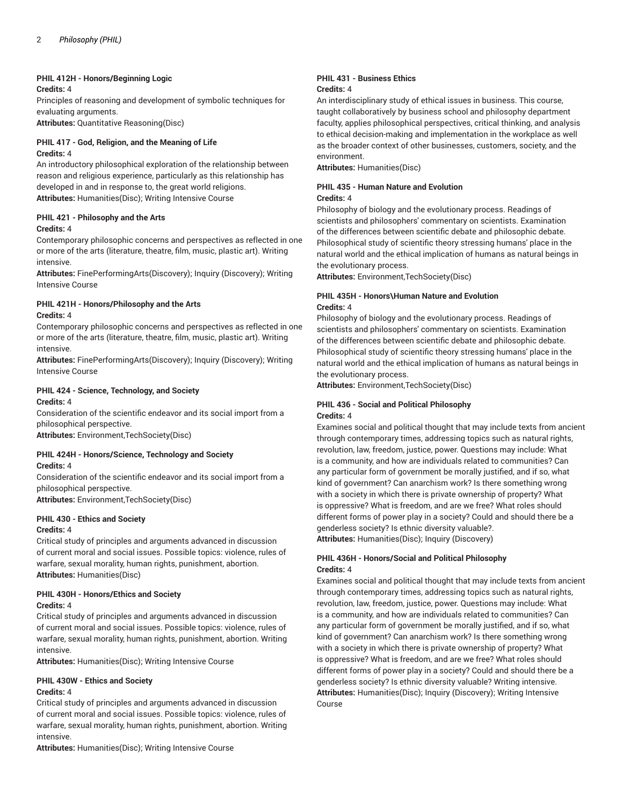#### **PHIL 412H - Honors/Beginning Logic**

#### **Credits:** 4

Principles of reasoning and development of symbolic techniques for evaluating arguments.

**Attributes:** Quantitative Reasoning(Disc)

#### **PHIL 417 - God, Religion, and the Meaning of Life Credits:** 4

An introductory philosophical exploration of the relationship between reason and religious experience, particularly as this relationship has developed in and in response to, the great world religions. **Attributes:** Humanities(Disc); Writing Intensive Course

# **PHIL 421 - Philosophy and the Arts**

#### **Credits:** 4

Contemporary philosophic concerns and perspectives as reflected in one or more of the arts (literature, theatre, film, music, plastic art). Writing intensive.

**Attributes:** FinePerformingArts(Discovery); Inquiry (Discovery); Writing Intensive Course

# **PHIL 421H - Honors/Philosophy and the Arts**

#### **Credits:** 4

Contemporary philosophic concerns and perspectives as reflected in one or more of the arts (literature, theatre, film, music, plastic art). Writing intensive.

**Attributes:** FinePerformingArts(Discovery); Inquiry (Discovery); Writing Intensive Course

#### **PHIL 424 - Science, Technology, and Society Credits:** 4

Consideration of the scientific endeavor and its social import from a philosophical perspective.

**Attributes:** Environment,TechSociety(Disc)

# **PHIL 424H - Honors/Science, Technology and Society**

**Credits:** 4

Consideration of the scientific endeavor and its social import from a philosophical perspective.

**Attributes:** Environment,TechSociety(Disc)

#### **PHIL 430 - Ethics and Society Credits:** 4

Critical study of principles and arguments advanced in discussion of current moral and social issues. Possible topics: violence, rules of warfare, sexual morality, human rights, punishment, abortion. **Attributes:** Humanities(Disc)

# **PHIL 430H - Honors/Ethics and Society**

### **Credits:** 4

Critical study of principles and arguments advanced in discussion of current moral and social issues. Possible topics: violence, rules of warfare, sexual morality, human rights, punishment, abortion. Writing intensive.

**Attributes:** Humanities(Disc); Writing Intensive Course

### **PHIL 430W - Ethics and Society**

#### **Credits:** 4

Critical study of principles and arguments advanced in discussion of current moral and social issues. Possible topics: violence, rules of warfare, sexual morality, human rights, punishment, abortion. Writing intensive.

**Attributes:** Humanities(Disc); Writing Intensive Course

#### **PHIL 431 - Business Ethics Credits:** 4

An interdisciplinary study of ethical issues in business. This course, taught collaboratively by business school and philosophy department faculty, applies philosophical perspectives, critical thinking, and analysis to ethical decision-making and implementation in the workplace as well as the broader context of other businesses, customers, society, and the environment.

**Attributes:** Humanities(Disc)

#### **PHIL 435 - Human Nature and Evolution Credits:** 4

Philosophy of biology and the evolutionary process. Readings of scientists and philosophers' commentary on scientists. Examination of the differences between scientific debate and philosophic debate. Philosophical study of scientific theory stressing humans' place in the natural world and the ethical implication of humans as natural beings in the evolutionary process.

**Attributes:** Environment,TechSociety(Disc)

#### **PHIL 435H - Honors\Human Nature and Evolution Credits:** 4

Philosophy of biology and the evolutionary process. Readings of scientists and philosophers' commentary on scientists. Examination of the differences between scientific debate and philosophic debate. Philosophical study of scientific theory stressing humans' place in the natural world and the ethical implication of humans as natural beings in the evolutionary process.

**Attributes:** Environment,TechSociety(Disc)

#### **PHIL 436 - Social and Political Philosophy Credits:** 4

Examines social and political thought that may include texts from ancient through contemporary times, addressing topics such as natural rights, revolution, law, freedom, justice, power. Questions may include: What is a community, and how are individuals related to communities? Can any particular form of government be morally justified, and if so, what kind of government? Can anarchism work? Is there something wrong with a society in which there is private ownership of property? What is oppressive? What is freedom, and are we free? What roles should different forms of power play in a society? Could and should there be a genderless society? Is ethnic diversity valuable?. **Attributes:** Humanities(Disc); Inquiry (Discovery)

**PHIL 436H - Honors/Social and Political Philosophy Credits:** 4

Examines social and political thought that may include texts from ancient through contemporary times, addressing topics such as natural rights, revolution, law, freedom, justice, power. Questions may include: What is a community, and how are individuals related to communities? Can any particular form of government be morally justified, and if so, what kind of government? Can anarchism work? Is there something wrong with a society in which there is private ownership of property? What is oppressive? What is freedom, and are we free? What roles should different forms of power play in a society? Could and should there be a genderless society? Is ethnic diversity valuable? Writing intensive. **Attributes:** Humanities(Disc); Inquiry (Discovery); Writing Intensive Course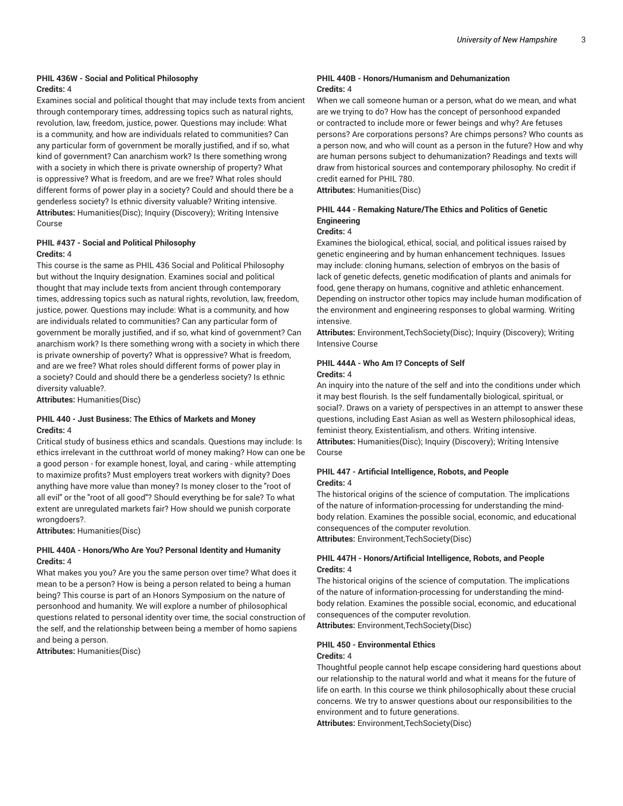#### **PHIL 436W - Social and Political Philosophy Credits:** 4

Examines social and political thought that may include texts from ancient through contemporary times, addressing topics such as natural rights, revolution, law, freedom, justice, power. Questions may include: What is a community, and how are individuals related to communities? Can any particular form of government be morally justified, and if so, what kind of government? Can anarchism work? Is there something wrong with a society in which there is private ownership of property? What is oppressive? What is freedom, and are we free? What roles should different forms of power play in a society? Could and should there be a genderless society? Is ethnic diversity valuable? Writing intensive. **Attributes:** Humanities(Disc); Inquiry (Discovery); Writing Intensive Course

#### **PHIL #437 - Social and Political Philosophy Credits:** 4

This course is the same as PHIL 436 Social and Political Philosophy but without the Inquiry designation. Examines social and political thought that may include texts from ancient through contemporary times, addressing topics such as natural rights, revolution, law, freedom, justice, power. Questions may include: What is a community, and how are individuals related to communities? Can any particular form of government be morally justified, and if so, what kind of government? Can anarchism work? Is there something wrong with a society in which there is private ownership of poverty? What is oppressive? What is freedom, and are we free? What roles should different forms of power play in a society? Could and should there be a genderless society? Is ethnic diversity valuable?.

**Attributes:** Humanities(Disc)

#### **PHIL 440 - Just Business: The Ethics of Markets and Money Credits:** 4

Critical study of business ethics and scandals. Questions may include: Is ethics irrelevant in the cutthroat world of money making? How can one be a good person - for example honest, loyal, and caring - while attempting to maximize profits? Must employers treat workers with dignity? Does anything have more value than money? Is money closer to the "root of all evil" or the "root of all good"? Should everything be for sale? To what extent are unregulated markets fair? How should we punish corporate wrongdoers?.

**Attributes:** Humanities(Disc)

#### **PHIL 440A - Honors/Who Are You? Personal Identity and Humanity Credits:** 4

What makes you you? Are you the same person over time? What does it mean to be a person? How is being a person related to being a human being? This course is part of an Honors Symposium on the nature of personhood and humanity. We will explore a number of philosophical questions related to personal identity over time, the social construction of the self, and the relationship between being a member of homo sapiens and being a person.

**Attributes:** Humanities(Disc)

#### **PHIL 440B - Honors/Humanism and Dehumanization Credits:** 4

When we call someone human or a person, what do we mean, and what are we trying to do? How has the concept of personhood expanded or contracted to include more or fewer beings and why? Are fetuses persons? Are corporations persons? Are chimps persons? Who counts as a person now, and who will count as a person in the future? How and why are human persons subject to dehumanization? Readings and texts will draw from historical sources and contemporary philosophy. No credit if credit earned for PHIL 780.

**Attributes:** Humanities(Disc)

#### **PHIL 444 - Remaking Nature/The Ethics and Politics of Genetic Engineering**

#### **Credits:** 4

Examines the biological, ethical, social, and political issues raised by genetic engineering and by human enhancement techniques. Issues may include: cloning humans, selection of embryos on the basis of lack of genetic defects, genetic modification of plants and animals for food, gene therapy on humans, cognitive and athletic enhancement. Depending on instructor other topics may include human modification of the environment and engineering responses to global warming. Writing intensive.

**Attributes:** Environment,TechSociety(Disc); Inquiry (Discovery); Writing Intensive Course

#### **PHIL 444A - Who Am I? Concepts of Self Credits:** 4

An inquiry into the nature of the self and into the conditions under which it may best flourish. Is the self fundamentally biological, spiritual, or social?. Draws on a variety of perspectives in an attempt to answer these questions, including East Asian as well as Western philosophical ideas, feminist theory, Existentialism, and others. Writing intensive. **Attributes:** Humanities(Disc); Inquiry (Discovery); Writing Intensive Course

#### **PHIL 447 - Artificial Intelligence, Robots, and People Credits:** 4

The historical origins of the science of computation. The implications of the nature of information-processing for understanding the mindbody relation. Examines the possible social, economic, and educational consequences of the computer revolution.

**Attributes:** Environment,TechSociety(Disc)

#### **PHIL 447H - Honors/Artificial Intelligence, Robots, and People Credits:** 4

The historical origins of the science of computation. The implications of the nature of information-processing for understanding the mindbody relation. Examines the possible social, economic, and educational consequences of the computer revolution. **Attributes:** Environment,TechSociety(Disc)

# **PHIL 450 - Environmental Ethics**

### **Credits:** 4

Thoughtful people cannot help escape considering hard questions about our relationship to the natural world and what it means for the future of life on earth. In this course we think philosophically about these crucial concerns. We try to answer questions about our responsibilities to the environment and to future generations.

**Attributes:** Environment,TechSociety(Disc)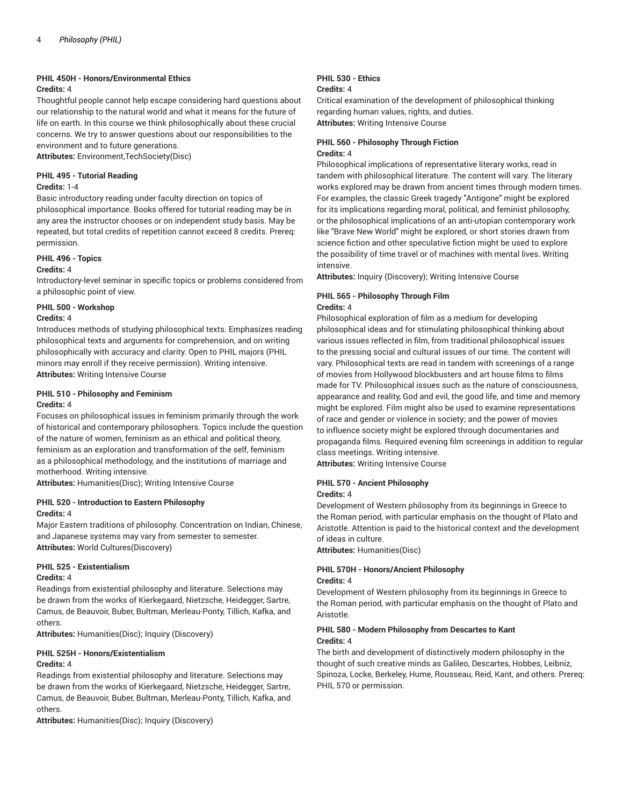#### **PHIL 450H - Honors/Environmental Ethics**

### **Credits:** 4

Thoughtful people cannot help escape considering hard questions about our relationship to the natural world and what it means for the future of life on earth. In this course we think philosophically about these crucial concerns. We try to answer questions about our responsibilities to the environment and to future generations.

**Attributes:** Environment,TechSociety(Disc)

#### **PHIL 495 - Tutorial Reading**

#### **Credits:** 1-4

Basic introductory reading under faculty direction on topics of philosophical importance. Books offered for tutorial reading may be in any area the instructor chooses or on independent study basis. May be repeated, but total credits of repetition cannot exceed 8 credits. Prereq: permission.

#### **PHIL 496 - Topics**

#### **Credits:** 4

Introductory-level seminar in specific topics or problems considered from a philosophic point of view.

#### **PHIL 500 - Workshop**

#### **Credits:** 4

Introduces methods of studying philosophical texts. Emphasizes reading philosophical texts and arguments for comprehension, and on writing philosophically with accuracy and clarity. Open to PHIL majors (PHIL minors may enroll if they receive permission). Writing intensive. **Attributes:** Writing Intensive Course

# **PHIL 510 - Philosophy and Feminism**

#### **Credits:** 4

Focuses on philosophical issues in feminism primarily through the work of historical and contemporary philosophers. Topics include the question of the nature of women, feminism as an ethical and political theory, feminism as an exploration and transformation of the self, feminism as a philosophical methodology, and the institutions of marriage and motherhood. Writing intensive.

**Attributes:** Humanities(Disc); Writing Intensive Course

#### **PHIL 520 - Introduction to Eastern Philosophy Credits:** 4

Major Eastern traditions of philosophy. Concentration on Indian, Chinese, and Japanese systems may vary from semester to semester. **Attributes:** World Cultures(Discovery)

#### **PHIL 525 - Existentialism**

#### **Credits:** 4

Readings from existential philosophy and literature. Selections may be drawn from the works of Kierkegaard, Nietzsche, Heidegger, Sartre, Camus, de Beauvoir, Buber, Bultman, Merleau-Ponty, Tillich, Kafka, and others.

**Attributes:** Humanities(Disc); Inquiry (Discovery)

#### **PHIL 525H - Honors/Existentialism Credits:** 4

Readings from existential philosophy and literature. Selections may be drawn from the works of Kierkegaard, Nietzsche, Heidegger, Sartre, Camus, de Beauvoir, Buber, Bultman, Merleau-Ponty, Tillich, Kafka, and others.

**Attributes:** Humanities(Disc); Inquiry (Discovery)

#### **PHIL 530 - Ethics Credits:** 4

Critical examination of the development of philosophical thinking regarding human values, rights, and duties. **Attributes:** Writing Intensive Course

#### **PHIL 560 - Philosophy Through Fiction Credits:** 4

Philosophical implications of representative literary works, read in tandem with philosophical literature. The content will vary. The literary works explored may be drawn from ancient times through modern times. For examples, the classic Greek tragedy "Antigone" might be explored for its implications regarding moral, political, and feminist philosophy, or the philosophical implications of an anti-utopian contemporary work like "Brave New World" might be explored, or short stories drawn from science fiction and other speculative fiction might be used to explore the possibility of time travel or of machines with mental lives. Writing intensive.

**Attributes:** Inquiry (Discovery); Writing Intensive Course

#### **PHIL 565 - Philosophy Through Film Credits:** 4

Philosophical exploration of film as a medium for developing philosophical ideas and for stimulating philosophical thinking about various issues reflected in film, from traditional philosophical issues to the pressing social and cultural issues of our time. The content will vary. Philosophical texts are read in tandem with screenings of a range of movies from Hollywood blockbusters and art house films to films made for TV. Philosophical issues such as the nature of consciousness, appearance and reality, God and evil, the good life, and time and memory might be explored. Film might also be used to examine representations of race and gender or violence in society; and the power of movies to influence society might be explored through documentaries and propaganda films. Required evening film screenings in addition to regular class meetings. Writing intensive.

**Attributes:** Writing Intensive Course

#### **PHIL 570 - Ancient Philosophy**

#### **Credits:** 4

Development of Western philosophy from its beginnings in Greece to the Roman period, with particular emphasis on the thought of Plato and Aristotle. Attention is paid to the historical context and the development of ideas in culture.

**Attributes:** Humanities(Disc)

# **PHIL 570H - Honors/Ancient Philosophy**

#### **Credits:** 4

Development of Western philosophy from its beginnings in Greece to the Roman period, with particular emphasis on the thought of Plato and Aristotle.

#### **PHIL 580 - Modern Philosophy from Descartes to Kant Credits:** 4

The birth and development of distinctively modern philosophy in the thought of such creative minds as Galileo, Descartes, Hobbes, Leibniz, Spinoza, Locke, Berkeley, Hume, Rousseau, Reid, Kant, and others. Prereq: PHIL 570 or permission.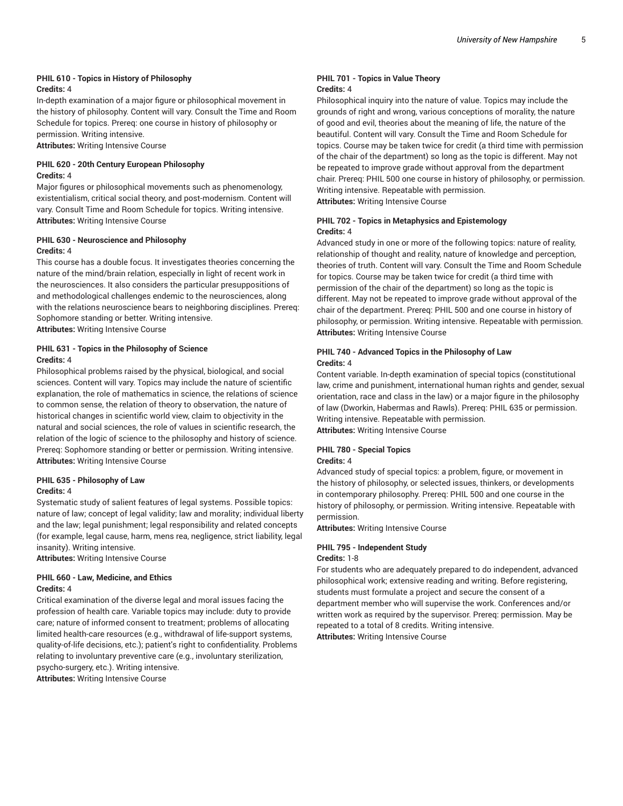#### **PHIL 610 - Topics in History of Philosophy Credits:** 4

In-depth examination of a major figure or philosophical movement in the history of philosophy. Content will vary. Consult the Time and Room Schedule for topics. Prereq: one course in history of philosophy or permission. Writing intensive.

**Attributes:** Writing Intensive Course

#### **PHIL 620 - 20th Century European Philosophy Credits:** 4

Major figures or philosophical movements such as phenomenology, existentialism, critical social theory, and post-modernism. Content will vary. Consult Time and Room Schedule for topics. Writing intensive. **Attributes:** Writing Intensive Course

#### **PHIL 630 - Neuroscience and Philosophy Credits:** 4

This course has a double focus. It investigates theories concerning the nature of the mind/brain relation, especially in light of recent work in the neurosciences. It also considers the particular presuppositions of and methodological challenges endemic to the neurosciences, along with the relations neuroscience bears to neighboring disciplines. Prereq: Sophomore standing or better. Writing intensive.

**Attributes:** Writing Intensive Course

#### **PHIL 631 - Topics in the Philosophy of Science Credits:** 4

Philosophical problems raised by the physical, biological, and social sciences. Content will vary. Topics may include the nature of scientific explanation, the role of mathematics in science, the relations of science to common sense, the relation of theory to observation, the nature of historical changes in scientific world view, claim to objectivity in the natural and social sciences, the role of values in scientific research, the relation of the logic of science to the philosophy and history of science. Prereq: Sophomore standing or better or permission. Writing intensive. **Attributes:** Writing Intensive Course

# **PHIL 635 - Philosophy of Law**

#### **Credits:** 4

Systematic study of salient features of legal systems. Possible topics: nature of law; concept of legal validity; law and morality; individual liberty and the law; legal punishment; legal responsibility and related concepts (for example, legal cause, harm, mens rea, negligence, strict liability, legal insanity). Writing intensive.

**Attributes:** Writing Intensive Course

# **PHIL 660 - Law, Medicine, and Ethics**

### **Credits:** 4

Critical examination of the diverse legal and moral issues facing the profession of health care. Variable topics may include: duty to provide care; nature of informed consent to treatment; problems of allocating limited health-care resources (e.g., withdrawal of life-support systems, quality-of-life decisions, etc.); patient's right to confidentiality. Problems relating to involuntary preventive care (e.g., involuntary sterilization, psycho-surgery, etc.). Writing intensive.

**Attributes:** Writing Intensive Course

### **PHIL 701 - Topics in Value Theory Credits:** 4

Philosophical inquiry into the nature of value. Topics may include the grounds of right and wrong, various conceptions of morality, the nature of good and evil, theories about the meaning of life, the nature of the beautiful. Content will vary. Consult the Time and Room Schedule for topics. Course may be taken twice for credit (a third time with permission of the chair of the department) so long as the topic is different. May not be repeated to improve grade without approval from the department chair. Prereq: PHIL 500 one course in history of philosophy, or permission. Writing intensive. Repeatable with permission.

**Attributes:** Writing Intensive Course

### **PHIL 702 - Topics in Metaphysics and Epistemology Credits:** 4

Advanced study in one or more of the following topics: nature of reality, relationship of thought and reality, nature of knowledge and perception, theories of truth. Content will vary. Consult the Time and Room Schedule for topics. Course may be taken twice for credit (a third time with permission of the chair of the department) so long as the topic is different. May not be repeated to improve grade without approval of the chair of the department. Prereq: PHIL 500 and one course in history of philosophy, or permission. Writing intensive. Repeatable with permission. **Attributes:** Writing Intensive Course

### **PHIL 740 - Advanced Topics in the Philosophy of Law Credits:** 4

Content variable. In-depth examination of special topics (constitutional law, crime and punishment, international human rights and gender, sexual orientation, race and class in the law) or a major figure in the philosophy of law (Dworkin, Habermas and Rawls). Prereq: PHIL 635 or permission. Writing intensive. Repeatable with permission.

**Attributes:** Writing Intensive Course

### **PHIL 780 - Special Topics**

### **Credits:** 4

Advanced study of special topics: a problem, figure, or movement in the history of philosophy, or selected issues, thinkers, or developments in contemporary philosophy. Prereq: PHIL 500 and one course in the history of philosophy, or permission. Writing intensive. Repeatable with permission.

**Attributes:** Writing Intensive Course

# **PHIL 795 - Independent Study**

### **Credits:** 1-8

For students who are adequately prepared to do independent, advanced philosophical work; extensive reading and writing. Before registering, students must formulate a project and secure the consent of a department member who will supervise the work. Conferences and/or written work as required by the supervisor. Prereq: permission. May be repeated to a total of 8 credits. Writing intensive. **Attributes:** Writing Intensive Course